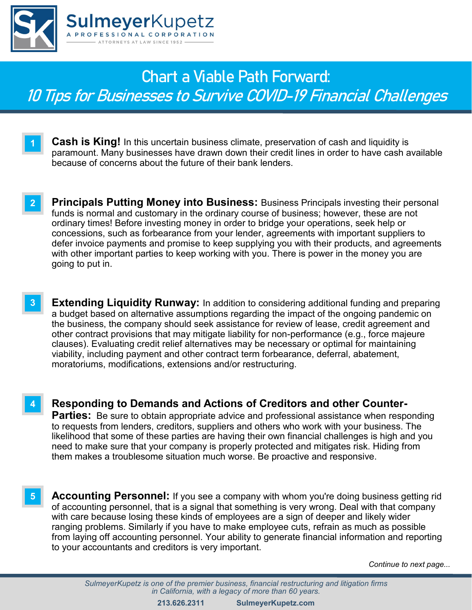

**1**

**2**

**4**

## **Chart a Viable Path Forward:** 10 Tips for Businesses to Survive COVID-19 Financial Challenges

- **Cash is King!** In this uncertain business climate, preservation of cash and liquidity is paramount. Many businesses have drawn down their credit lines in order to have cash available because of concerns about the future of their bank lenders.
	- **Principals Putting Money into Business:** Business Principals investing their personal funds is normal and customary in the ordinary course of business; however, these are not ordinary times! Before investing money in order to bridge your operations, seek help or concessions, such as forbearance from your lender, agreements with important suppliers to defer invoice payments and promise to keep supplying you with their products, and agreements with other important parties to keep working with you. There is power in the money you are going to put in.
- **Extending Liquidity Runway:** In addition to considering additional funding and preparing a budget based on alternative assumptions regarding the impact of the ongoing pandemic on the business, the company should seek assistance for review of lease, credit agreement and other contract provisions that may mitigate liability for non-performance (e.g., force majeure clauses). Evaluating credit relief alternatives may be necessary or optimal for maintaining viability, including payment and other contract term forbearance, deferral, abatement, moratoriums, modifications, extensions and/or restructuring. **3**
	- **Responding to Demands and Actions of Creditors and other Counter-Parties:** Be sure to obtain appropriate advice and professional assistance when responding to requests from lenders, creditors, suppliers and others who work with your business. The likelihood that some of these parties are having their own financial challenges is high and you need to make sure that your company is properly protected and mitigates risk. Hiding from them makes a troublesome situation much worse. Be proactive and responsive.
- **Accounting Personnel:** If you see a company with whom you're doing business getting rid of accounting personnel, that is a signal that something is very wrong. Deal with that company with care because losing these kinds of employees are a sign of deeper and likely wider ranging problems. Similarly if you have to make employee cuts, refrain as much as possible from laying off accounting personnel. Your ability to generate financial information and reporting to your accountants and creditors is very important. **5**

*Continue to next page...*